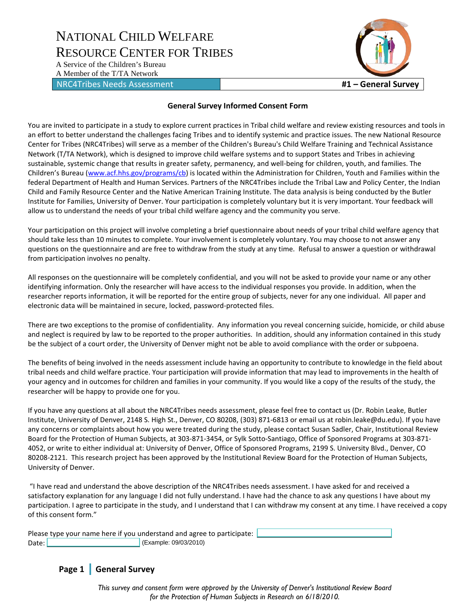# NATIONAL CHILD WELFARE RESOURCE CENTER FOR TRIBES

A Service of the Children's Bureau A Member of the T/TA Network

NRC4Tribes Needs Assessment **#1 – General Survey**



#### **General Survey Informed Consent Form**

You are invited to participate in a study to explore current practices in Tribal child welfare and review existing resources and tools in an effort to better understand the challenges facing Tribes and to identify systemic and practice issues. The new National Resource Center for Tribes (NRC4Tribes) will serve as a member of the Children's Bureau's Child Welfare Training and Technical Assistance Network (T/TA Network), which is designed to improve child welfare systems and to support States and Tribes in achieving sustainable, systemic change that results in greater safety, permanency, and well-being for children, youth, and families. The Children's Bureau (www.acf.hhs.gov/programs/cb) is located within the Administration for Children, Youth and Families within the federal Department of Health and Human Services. Partners of the NRC4Tribes include the Tribal Law and Policy Center, the Indian Child and Family Resource Center and the Native American Training Institute. The data analysis is being conducted by the Butler Institute for Families, University of Denver. Your participation is completely voluntary but it is very important. Your feedback will allow us to understand the needs of your tribal child welfare agency and the community you serve.

Your participation on this project will involve completing a brief questionnaire about needs of your tribal child welfare agency that should take less than 10 minutes to complete. Your involvement is completely voluntary. You may choose to not answer any questions on the questionnaire and are free to withdraw from the study at any time. Refusal to answer a question or withdrawal from participation involves no penalty.

All responses on the questionnaire will be completely confidential, and you will not be asked to provide your name or any other identifying information. Only the researcher will have access to the individual responses you provide. In addition, when the researcher reports information, it will be reported for the entire group of subjects, never for any one individual. All paper and electronic data will be maintained in secure, locked, password-protected files.

There are two exceptions to the promise of confidentiality. Any information you reveal concerning suicide, homicide, or child abuse and neglect is required by law to be reported to the proper authorities. In addition, should any information contained in this study be the subject of a court order, the University of Denver might not be able to avoid compliance with the order or subpoena.

The benefits of being involved in the needs assessment include having an opportunity to contribute to knowledge in the field about tribal needs and child welfare practice. Your participation will provide information that may lead to improvements in the health of your agency and in outcomes for children and families in your community. If you would like a copy of the results of the study, the researcher will be happy to provide one for you.

If you have any questions at all about the NRC4Tribes needs assessment, please feel free to contact us (Dr. Robin Leake, Butler Institute, University of Denver, 2148 S. High St., Denver, CO 80208, (303) 871-6813 or email us at robin.leake@du.edu). If you have any concerns or complaints about how you were treated during the study, please contact Susan Sadler, Chair, Institutional Review Board for the Protection of Human Subjects, at 303-871-3454, or Sylk Sotto-Santiago, Office of Sponsored Programs at 303-871- 4052, or write to either individual at: University of Denver, Office of Sponsored Programs, 2199 S. University Blvd., Denver, CO 80208-2121. This research project has been approved by the Institutional Review Board for the Protection of Human Subjects, University of Denver.

"I have read and understand the above description of the NRC4Tribes needs assessment. I have asked for and received a satisfactory explanation for any language I did not fully understand. I have had the chance to ask any questions I have about my participation. I agree to participate in the study, and I understand that I can withdraw my consent at any time. I have received a copy of this consent form."

Please type your name here if you understand and agree to participate: Date: **Date:** (Example: 09/03/2010)

**Page 1 General Survey**

*This survey and consent form were approved by the University of Denver's Institutional Review Board for the Protection of Human Subjects in Research on 6/18/2010.*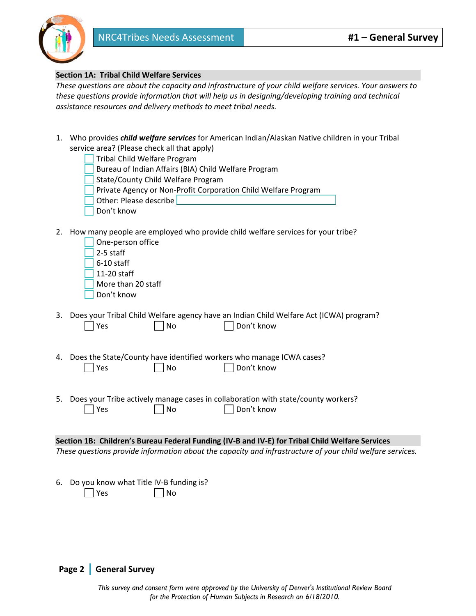

#### **Section 1A: Tribal Child Welfare Services**

*These questions are about the capacity and infrastructure of your child welfare services. Your answers to these questions provide information that will help us in designing/developing training and technical assistance resources and delivery methods to meet tribal needs.*

|    | 1. Who provides <i>child welfare services</i> for American Indian/Alaskan Native children in your Tribal  |
|----|-----------------------------------------------------------------------------------------------------------|
|    | service area? (Please check all that apply)                                                               |
|    | Tribal Child Welfare Program                                                                              |
|    | Bureau of Indian Affairs (BIA) Child Welfare Program                                                      |
|    | State/County Child Welfare Program                                                                        |
|    | Private Agency or Non-Profit Corporation Child Welfare Program                                            |
|    | Other: Please describe                                                                                    |
|    | Don't know                                                                                                |
|    |                                                                                                           |
| 2. | How many people are employed who provide child welfare services for your tribe?                           |
|    | One-person office                                                                                         |
|    | 2-5 staff                                                                                                 |
|    | $6-10$ staff                                                                                              |
|    | 11-20 staff                                                                                               |
|    | More than 20 staff                                                                                        |
|    | Don't know                                                                                                |
|    |                                                                                                           |
| 3. | Does your Tribal Child Welfare agency have an Indian Child Welfare Act (ICWA) program?                    |
|    | Don't know<br> Yes<br>No                                                                                  |
|    |                                                                                                           |
|    |                                                                                                           |
|    | 4. Does the State/County have identified workers who manage ICWA cases?                                   |
|    | Don't know<br>No<br>Yes                                                                                   |
|    |                                                                                                           |
|    |                                                                                                           |
|    | 5. Does your Tribe actively manage cases in collaboration with state/county workers?                      |
|    | Yes<br>No<br>Don't know                                                                                   |
|    |                                                                                                           |
|    |                                                                                                           |
|    | Section 1B: Children's Bureau Federal Funding (IV-B and IV-E) for Tribal Child Welfare Services           |
|    | These questions provide information about the capacity and infrastructure of your child welfare services. |
|    |                                                                                                           |
|    | <b>Development Into The Theory Contracts</b>                                                              |
|    |                                                                                                           |

6. Do you know what Title IV-B funding is?  $\vert$  Yes  $\vert$   $\vert$  No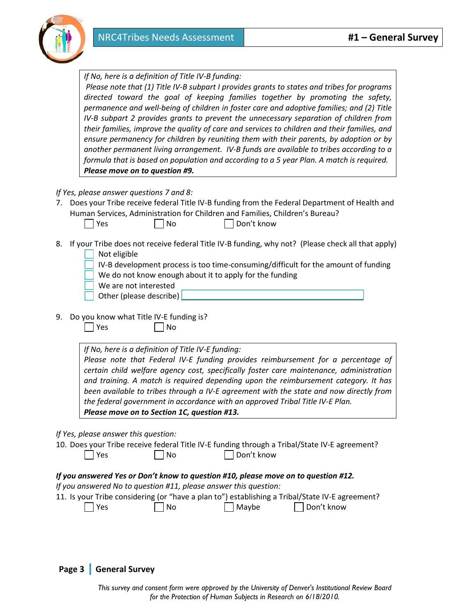

*If No, here is a definition of Title IV-B funding:* 

*Please note that (1) Title IV-B subpart I provides grants to states and tribes for programs directed toward the goal of keeping families together by promoting the safety, permanence and well-being of children in foster care and adoptive families; and (2) Title IV-B subpart 2 provides grants to prevent the unnecessary separation of children from their families, improve the quality of care and services to children and their families, and ensure permanency for children by reuniting them with their parents, by adoption or by another permanent living arrangement. IV-B funds are available to tribes according to a formula that is based on population and according to a 5 year Plan. A match is required. Please move on to question #9.*

*If Yes, please answer questions 7 and 8:*

|     |           | 7. Does your Tribe receive federal Title IV-B funding from the Federal Department of Health and |
|-----|-----------|-------------------------------------------------------------------------------------------------|
|     |           | Human Services, Administration for Children and Families, Children's Bureau?                    |
| Yes | $\Box$ No | Don't know                                                                                      |

8. If your Tribe does not receive federal Title IV-B funding, why not? (Please check all that apply) Not eligible

| $\perp$ IV-B development process is too time-consuming/difficult for the amount of funding |
|--------------------------------------------------------------------------------------------|
|                                                                                            |

We do not know enough about it to apply for the funding

| We are not interested   |
|-------------------------|
| Other (please describe) |

9. Do you know what Title IV-E funding is?

| $\Box$ Yes | $\Box$ No |
|------------|-----------|
|            |           |

*If No, here is a definition of Title IV-E funding:* 

*Please note that Federal IV-E funding provides reimbursement for a percentage of certain child welfare agency cost, specifically foster care maintenance, administration and training. A match is required depending upon the reimbursement category. It has been available to tribes through a IV-E agreement with the state and now directly from the federal government in accordance with an approved Tribal Title IV-E Plan. Please move on to Section 1C, question #13.*

*If Yes, please answer this question:*

|            |           | 10. Does your Tribe receive federal Title IV-E funding through a Tribal/State IV-E agreement? |
|------------|-----------|-----------------------------------------------------------------------------------------------|
| $\Box$ Yes | $\Box$ No | Don't know                                                                                    |

## *If you answered Yes or Don't know to question #10, please move on to question #12.*

|           |           | If you answered No to question #11, please answer this question: |                                                                                                 |  |
|-----------|-----------|------------------------------------------------------------------|-------------------------------------------------------------------------------------------------|--|
|           |           |                                                                  | 11. Is your Tribe considering (or "have a plan to") establishing a Tribal/State IV-E agreement? |  |
| $ $   Yes | $\Box$ No | $\Box$ Maybe                                                     | Don't know                                                                                      |  |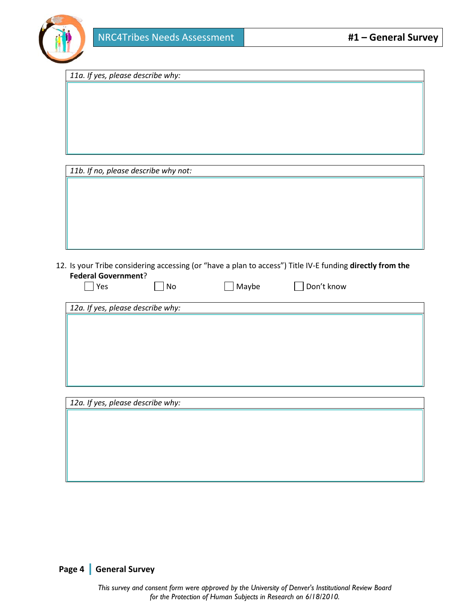|  |  |  | NRC4Tribes Needs Assessment |  |
|--|--|--|-----------------------------|--|
|--|--|--|-----------------------------|--|

| 11a. If yes, please describe why:    |  |  |
|--------------------------------------|--|--|
|                                      |  |  |
|                                      |  |  |
|                                      |  |  |
|                                      |  |  |
|                                      |  |  |
| 11b. If no, please describe why not: |  |  |
|                                      |  |  |
|                                      |  |  |
|                                      |  |  |
|                                      |  |  |
|                                      |  |  |
|                                      |  |  |

| <b>Federal Government?</b><br>Yes | No | Maybe | Don't know |  |
|-----------------------------------|----|-------|------------|--|
| 12a. If yes, please describe why: |    |       |            |  |
|                                   |    |       |            |  |
|                                   |    |       |            |  |
|                                   |    |       |            |  |
|                                   |    |       |            |  |
|                                   |    |       |            |  |
|                                   |    |       |            |  |

*12a. If yes, please describe why:*

**Page 4 General Survey**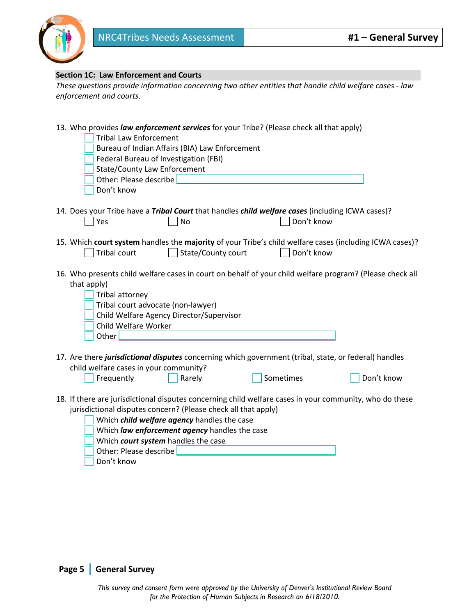

### **Section 1C: Law Enforcement and Courts**

*These questions provide information concerning two other entities that handle child welfare cases - law enforcement and courts.* 

| 13. Who provides law enforcement services for your Tribe? (Please check all that apply)                  |
|----------------------------------------------------------------------------------------------------------|
| <b>Tribal Law Enforcement</b>                                                                            |
| Bureau of Indian Affairs (BIA) Law Enforcement                                                           |
| Federal Bureau of Investigation (FBI)                                                                    |
| <b>State/County Law Enforcement</b>                                                                      |
| Other: Please describe                                                                                   |
| Don't know                                                                                               |
|                                                                                                          |
| 14. Does your Tribe have a Tribal Court that handles child welfare cases (including ICWA cases)?         |
| Don't know<br>No<br>Yes                                                                                  |
|                                                                                                          |
| 15. Which court system handles the majority of your Tribe's child welfare cases (including ICWA cases)?  |
| State/County court<br>Don't know<br>Tribal court                                                         |
|                                                                                                          |
| 16. Who presents child welfare cases in court on behalf of your child welfare program? (Please check all |
| that apply)                                                                                              |
| <b>Tribal attorney</b>                                                                                   |
| Tribal court advocate (non-lawyer)                                                                       |
| Child Welfare Agency Director/Supervisor                                                                 |
| Child Welfare Worker                                                                                     |
| Other                                                                                                    |
|                                                                                                          |
| 17. Are there jurisdictional disputes concerning which government (tribal, state, or federal) handles    |
| child welfare cases in your community?                                                                   |
| Frequently<br>Rarely<br>Sometimes<br>Don't know                                                          |
|                                                                                                          |
| 18. If there are jurisdictional disputes concerning child welfare cases in your community, who do these  |
| jurisdictional disputes concern? (Please check all that apply)                                           |
| Which <i>child welfare agency</i> handles the case                                                       |
| Which law enforcement agency handles the case                                                            |
| Which court system handles the case                                                                      |
| Other: Please describe                                                                                   |
| Don't know                                                                                               |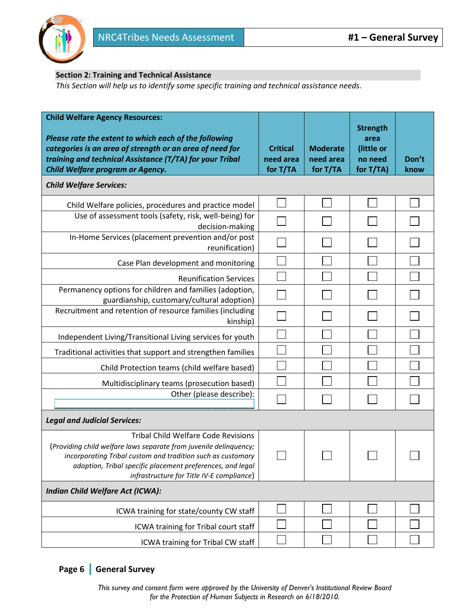

#### **Section 2: Training and Technical Assistance**

*This Section will help us to identify some specific training and technical assistance needs.*

| <b>Child Welfare Agency Resources:</b><br>Please rate the extent to which each of the following<br>categories is an area of strength or an area of need for<br>training and technical Assistance (T/TA) for your Tribal<br>Child Welfare program or Agency.                               | <b>Critical</b><br>need area<br>for T/TA | <b>Moderate</b><br>need area<br>for T/TA | <b>Strength</b><br>area<br>(little or<br>no need<br>for T/TA) | Don't<br>know |
|-------------------------------------------------------------------------------------------------------------------------------------------------------------------------------------------------------------------------------------------------------------------------------------------|------------------------------------------|------------------------------------------|---------------------------------------------------------------|---------------|
| <b>Child Welfare Services:</b>                                                                                                                                                                                                                                                            |                                          |                                          |                                                               |               |
| Child Welfare policies, procedures and practice model                                                                                                                                                                                                                                     |                                          |                                          |                                                               |               |
| Use of assessment tools (safety, risk, well-being) for<br>decision-making                                                                                                                                                                                                                 |                                          |                                          |                                                               |               |
| In-Home Services (placement prevention and/or post<br>reunification)                                                                                                                                                                                                                      |                                          |                                          |                                                               |               |
| Case Plan development and monitoring                                                                                                                                                                                                                                                      |                                          |                                          |                                                               |               |
| <b>Reunification Services</b>                                                                                                                                                                                                                                                             |                                          |                                          |                                                               |               |
| Permanency options for children and families (adoption,<br>guardianship, customary/cultural adoption)                                                                                                                                                                                     |                                          |                                          |                                                               |               |
| Recruitment and retention of resource families (including<br>kinship)                                                                                                                                                                                                                     |                                          |                                          |                                                               |               |
| Independent Living/Transitional Living services for youth                                                                                                                                                                                                                                 |                                          |                                          |                                                               |               |
| Traditional activities that support and strengthen families                                                                                                                                                                                                                               |                                          |                                          |                                                               |               |
| Child Protection teams (child welfare based)                                                                                                                                                                                                                                              |                                          |                                          |                                                               |               |
| Multidisciplinary teams (prosecution based)                                                                                                                                                                                                                                               |                                          |                                          |                                                               |               |
| Other (please describe):                                                                                                                                                                                                                                                                  |                                          |                                          |                                                               |               |
| <b>Legal and Judicial Services:</b>                                                                                                                                                                                                                                                       |                                          |                                          |                                                               |               |
| <b>Tribal Child Welfare Code Revisions</b><br>(Providing child welfare laws separate from juvenile delinquency;<br>incorporating Tribal custom and tradition such as customary<br>adoption, Tribal specific placement preferences, and legal<br>infrastructure for Title IV-E compliance) |                                          |                                          |                                                               |               |
| <b>Indian Child Welfare Act (ICWA):</b>                                                                                                                                                                                                                                                   |                                          |                                          |                                                               |               |
| ICWA training for state/county CW staff                                                                                                                                                                                                                                                   |                                          |                                          |                                                               |               |
| ICWA training for Tribal court staff                                                                                                                                                                                                                                                      |                                          |                                          |                                                               |               |
| ICWA training for Tribal CW staff                                                                                                                                                                                                                                                         |                                          |                                          |                                                               |               |

**Page 6 General Survey**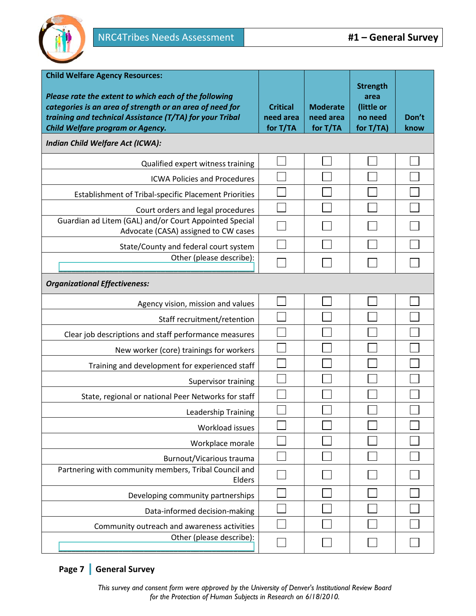NRC4Tribes Needs Assessment **#1 – General Survey**

| <b>Child Welfare Agency Resources:</b><br>Please rate the extent to which each of the following<br>categories is an area of strength or an area of need for<br>training and technical Assistance (T/TA) for your Tribal<br>Child Welfare program or Agency. | <b>Critical</b><br>need area<br>for T/TA | <b>Moderate</b><br>need area<br>for T/TA | <b>Strength</b><br>area<br>(little or<br>no need<br>for T/TA) | Don't<br>know |
|-------------------------------------------------------------------------------------------------------------------------------------------------------------------------------------------------------------------------------------------------------------|------------------------------------------|------------------------------------------|---------------------------------------------------------------|---------------|
| Indian Child Welfare Act (ICWA):                                                                                                                                                                                                                            |                                          |                                          |                                                               |               |
| Qualified expert witness training                                                                                                                                                                                                                           |                                          |                                          |                                                               |               |
| <b>ICWA Policies and Procedures</b>                                                                                                                                                                                                                         |                                          |                                          |                                                               |               |
| Establishment of Tribal-specific Placement Priorities                                                                                                                                                                                                       |                                          |                                          |                                                               |               |
| Court orders and legal procedures                                                                                                                                                                                                                           |                                          |                                          |                                                               |               |
| Guardian ad Litem (GAL) and/or Court Appointed Special<br>Advocate (CASA) assigned to CW cases                                                                                                                                                              |                                          |                                          |                                                               |               |
| State/County and federal court system                                                                                                                                                                                                                       |                                          |                                          |                                                               |               |
| Other (please describe):                                                                                                                                                                                                                                    |                                          |                                          |                                                               |               |
| <b>Organizational Effectiveness:</b>                                                                                                                                                                                                                        |                                          |                                          |                                                               |               |
| Agency vision, mission and values                                                                                                                                                                                                                           |                                          |                                          |                                                               |               |
| Staff recruitment/retention                                                                                                                                                                                                                                 |                                          |                                          |                                                               |               |
| Clear job descriptions and staff performance measures                                                                                                                                                                                                       |                                          |                                          |                                                               |               |
| New worker (core) trainings for workers                                                                                                                                                                                                                     |                                          |                                          |                                                               |               |
| Training and development for experienced staff                                                                                                                                                                                                              |                                          |                                          |                                                               |               |
| Supervisor training                                                                                                                                                                                                                                         |                                          |                                          |                                                               |               |
| State, regional or national Peer Networks for staff                                                                                                                                                                                                         |                                          |                                          |                                                               |               |
| <b>Leadership Training</b>                                                                                                                                                                                                                                  |                                          |                                          |                                                               |               |
| Workload issues                                                                                                                                                                                                                                             |                                          |                                          |                                                               |               |
| Workplace morale                                                                                                                                                                                                                                            |                                          |                                          |                                                               |               |
| <b>Burnout/Vicarious trauma</b>                                                                                                                                                                                                                             |                                          |                                          |                                                               |               |
| Partnering with community members, Tribal Council and<br>Elders                                                                                                                                                                                             |                                          |                                          |                                                               |               |
| Developing community partnerships                                                                                                                                                                                                                           |                                          |                                          |                                                               |               |
| Data-informed decision-making                                                                                                                                                                                                                               |                                          |                                          |                                                               |               |
| Community outreach and awareness activities                                                                                                                                                                                                                 |                                          |                                          |                                                               |               |
| Other (please describe):                                                                                                                                                                                                                                    |                                          |                                          |                                                               |               |

**Page 7 General Survey**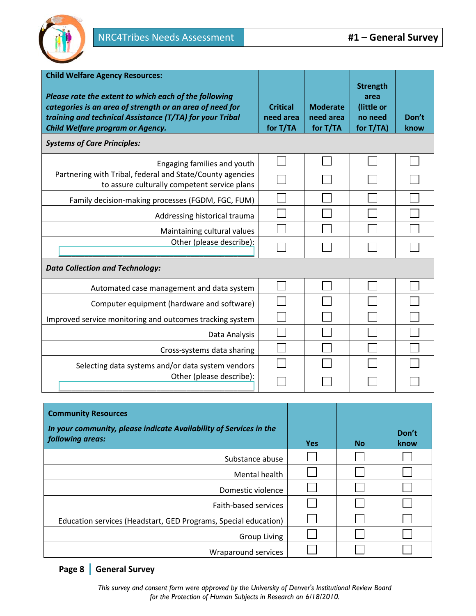NRC4Tribes Needs Assessment **#1 – General Survey**

| <b>Child Welfare Agency Resources:</b><br>Please rate the extent to which each of the following<br>categories is an area of strength or an area of need for<br>training and technical Assistance (T/TA) for your Tribal<br><b>Child Welfare program or Agency.</b> | <b>Critical</b><br>need area<br>for T/TA | <b>Moderate</b><br>need area<br>for T/TA | <b>Strength</b><br>area<br>(little or<br>no need<br>for T/TA) | Don't<br>know |
|--------------------------------------------------------------------------------------------------------------------------------------------------------------------------------------------------------------------------------------------------------------------|------------------------------------------|------------------------------------------|---------------------------------------------------------------|---------------|
| <b>Systems of Care Principles:</b>                                                                                                                                                                                                                                 |                                          |                                          |                                                               |               |
| Engaging families and youth                                                                                                                                                                                                                                        |                                          |                                          |                                                               |               |
| Partnering with Tribal, federal and State/County agencies<br>to assure culturally competent service plans                                                                                                                                                          |                                          |                                          |                                                               |               |
| Family decision-making processes (FGDM, FGC, FUM)                                                                                                                                                                                                                  |                                          |                                          |                                                               |               |
| Addressing historical trauma                                                                                                                                                                                                                                       |                                          |                                          |                                                               |               |
| Maintaining cultural values                                                                                                                                                                                                                                        |                                          |                                          |                                                               |               |
| Other (please describe):                                                                                                                                                                                                                                           |                                          |                                          |                                                               |               |
| <b>Data Collection and Technology:</b>                                                                                                                                                                                                                             |                                          |                                          |                                                               |               |
| Automated case management and data system                                                                                                                                                                                                                          |                                          |                                          |                                                               |               |
| Computer equipment (hardware and software)                                                                                                                                                                                                                         |                                          |                                          |                                                               |               |
| Improved service monitoring and outcomes tracking system                                                                                                                                                                                                           |                                          |                                          |                                                               |               |
| Data Analysis                                                                                                                                                                                                                                                      |                                          |                                          |                                                               |               |
| Cross-systems data sharing                                                                                                                                                                                                                                         |                                          |                                          |                                                               |               |
| Selecting data systems and/or data system vendors                                                                                                                                                                                                                  |                                          |                                          |                                                               |               |
| Other (please describe):                                                                                                                                                                                                                                           |                                          |                                          |                                                               |               |

| <b>Community Resources</b>                                                             |            |           |               |
|----------------------------------------------------------------------------------------|------------|-----------|---------------|
| In your community, please indicate Availability of Services in the<br>following areas: | <b>Yes</b> | <b>No</b> | Don't<br>know |
| Substance abuse                                                                        |            |           |               |
| Mental health                                                                          |            |           |               |
| Domestic violence                                                                      |            |           |               |
| Faith-based services                                                                   |            |           |               |
| Education services (Headstart, GED Programs, Special education)                        |            |           |               |
| <b>Group Living</b>                                                                    |            |           |               |
| Wraparound services                                                                    |            |           |               |

# **Page 8 General Survey**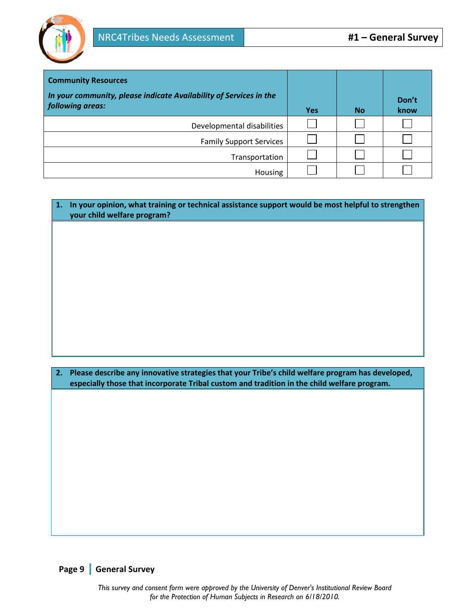| <b>Community Resources</b>                                                             |            |           |               |
|----------------------------------------------------------------------------------------|------------|-----------|---------------|
| In your community, please indicate Availability of Services in the<br>following areas: | <b>Yes</b> | <b>No</b> | Don't<br>know |
| Developmental disabilities                                                             |            |           |               |
| <b>Family Support Services</b>                                                         |            |           |               |
| Transportation                                                                         |            |           |               |
| <b>Housing</b>                                                                         |            |           |               |

**1. In your opinion, what training or technical assistance support would be most helpful to strengthen your child welfare program?**

**2. Please describe any innovative strategies that your Tribe's child welfare program has developed, especially those that incorporate Tribal custom and tradition in the child welfare program.**

**Page 9 General Survey**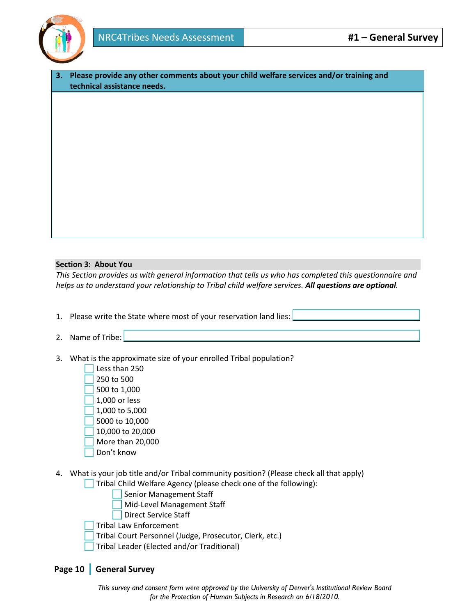

| 3. Please provide any other comments about your child welfare services and/or training and<br>technical assistance needs. |
|---------------------------------------------------------------------------------------------------------------------------|
|                                                                                                                           |

#### **Section 3: About You**

*This Section provides us with general information that tells us who has completed this questionnaire and helps us to understand your relationship to Tribal child welfare services. All questions are optional.* 

| 1. Please write the State where most of your reservation land lies: |  |
|---------------------------------------------------------------------|--|
|---------------------------------------------------------------------|--|

- 2. Name of Tribe:
- 3. What is the approximate size of your enrolled Tribal population?
	- Less than 250 250 to 500 500 to 1,000 **1,000 or less** 1,000 to 5,000 5000 to 10,000 10,000 to 20,000 More than 20,000
	- Don't know
- 4. What is your job title and/or Tribal community position? (Please check all that apply)
	- Tribal Child Welfare Agency (please check one of the following):
		- Senior Management Staff
		- Mid-Level Management Staff
		- **Direct Service Staff**
	- Tribal Law Enforcement
	- Tribal Court Personnel (Judge, Prosecutor, Clerk, etc.)
	- Tribal Leader (Elected and/or Traditional)

## **Page 10 General Survey**

*This survey and consent form were approved by the University of Denver's Institutional Review Board for the Protection of Human Subjects in Research on 6/18/2010.*